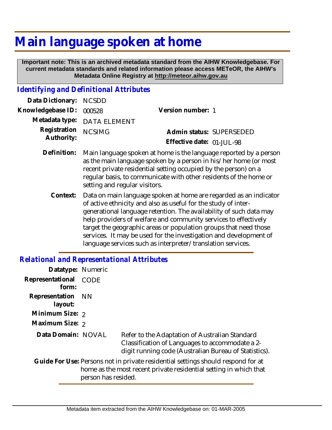## **Main language spoken at home**

 **Important note: This is an archived metadata standard from the AIHW Knowledgebase. For current metadata standards and related information please access METeOR, the AIHW's Metadata Online Registry at http://meteor.aihw.gov.au**

## *Identifying and Definitional Attributes*

| Data Dictionary: NCSDD            |                             |                           |  |
|-----------------------------------|-----------------------------|---------------------------|--|
| Knowledgebase ID: 000528          |                             | Version number: 1         |  |
|                                   | Metadata type: DATA ELEMENT |                           |  |
| Registration NCSIMG<br>Authority: |                             | Admin status: SUPERSEDED  |  |
|                                   |                             | Effective date: 01-JUL-98 |  |
|                                   |                             |                           |  |

- Main language spoken at home is the language reported by a person as the main language spoken by a person in his/her home (or most recent private residential setting occupied by the person) on a regular basis, to communicate with other residents of the home or setting and regular visitors. **Definition:**
	- Data on main language spoken at home are regarded as an indicator of active ethnicity and also as useful for the study of intergenerational language retention. The availability of such data may help providers of welfare and community services to effectively target the geographic areas or population groups that need those services. It may be used for the investigation and development of language services such as interpreter/translation services. **Context:**

## *Relational and Representational Attributes*

| Datatype: Numeric         |                     |                                                                                                                                                            |
|---------------------------|---------------------|------------------------------------------------------------------------------------------------------------------------------------------------------------|
| Representational<br>form: | <b>CODE</b>         |                                                                                                                                                            |
| Representation<br>layout: | - NN                |                                                                                                                                                            |
| Minimum Size: 2           |                     |                                                                                                                                                            |
| Maximum Size: 2           |                     |                                                                                                                                                            |
| Data Domain: NOVAL        |                     | Refer to the Adaptation of Australian Standard<br>Classification of Languages to accommodate a 2-<br>digit running code (Australian Bureau of Statistics). |
|                           | person has resided. | Guide For Use: Persons not in private residential settings should respond for at<br>home as the most recent private residential setting in which that      |